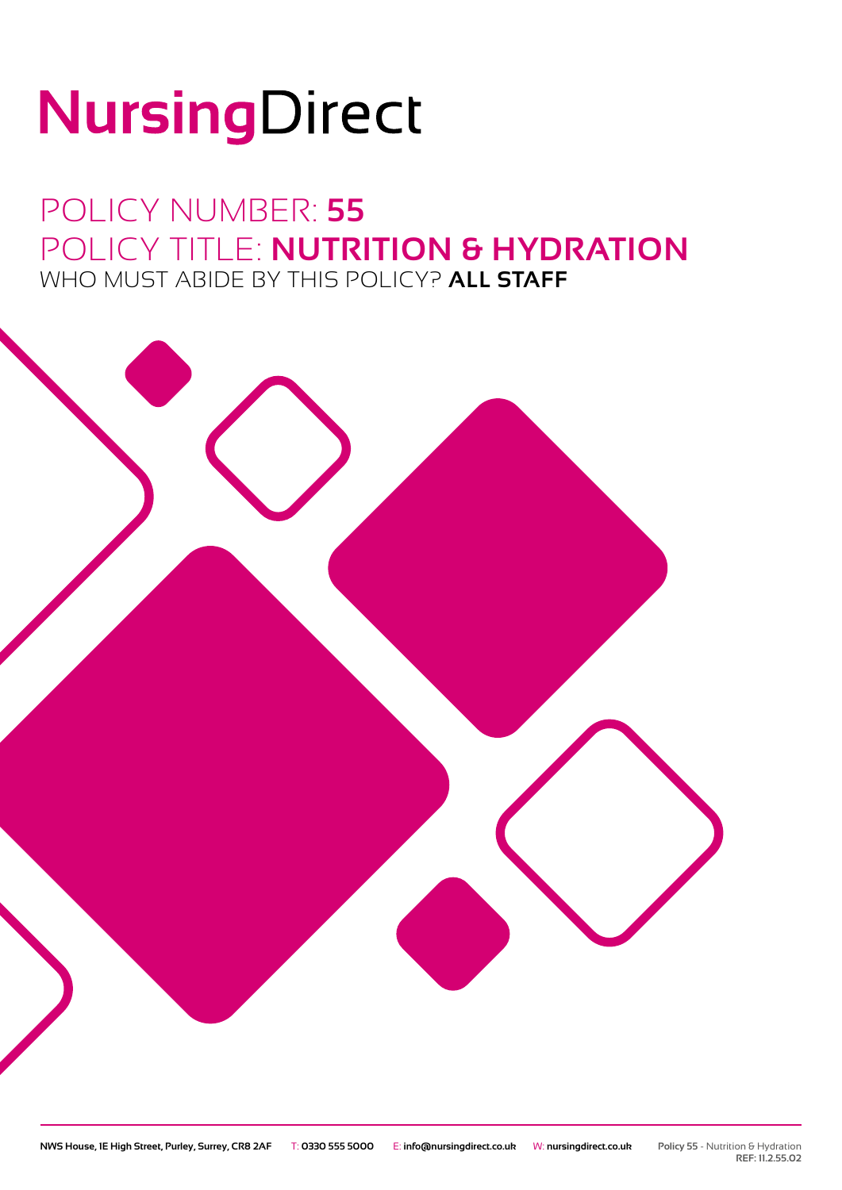# NursingDirect

### POLICY NUMBER: **55** POLICY TITLE: **NUTRITION & HYDRATION** WHO MUST ABIDE BY THIS POLICY? **ALL STAFF**